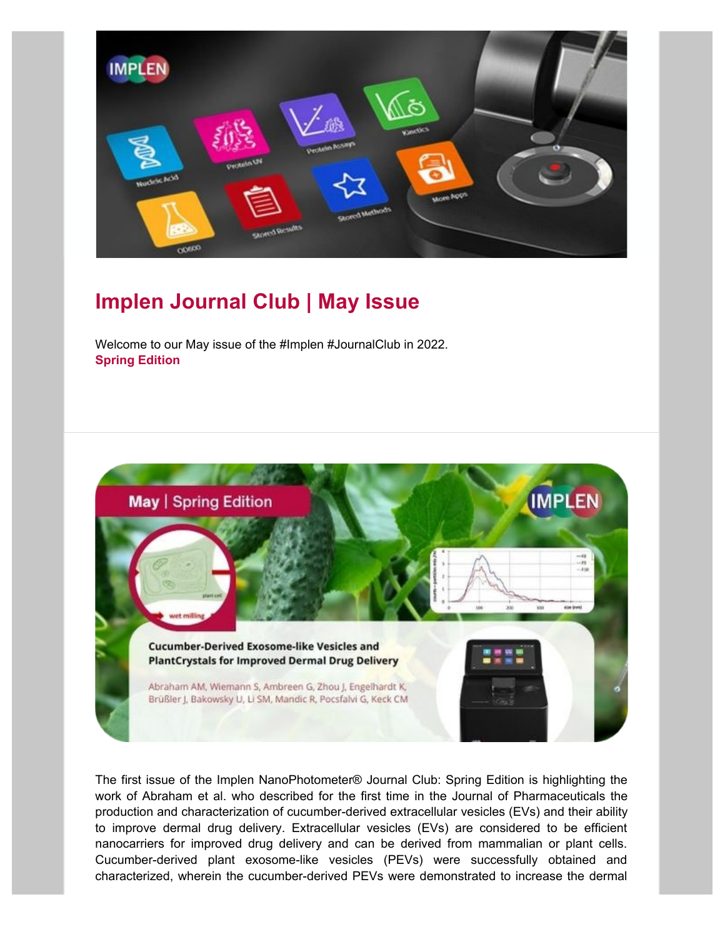

## **Implen Journal Club | May Issue**

Welcome to our May issue of the #Implen #JournalClub in 2022. **Spring Edition**



The first issue of the Implen NanoPhotometer® Journal Club: Spring Edition is highlighting the work of Abraham et al. who described for the first time in the Journal of Pharmaceuticals the production and characterization of cucumber-derived extracellular vesicles (EVs) and their ability to improve dermal drug delivery. Extracellular vesicles (EVs) are considered to be efficient nanocarriers for improved drug delivery and can be derived from mammalian or plant cells. Cucumber-derived plant exosome-like vesicles (PEVs) were successfully obtained and characterized, wherein the cucumber-derived PEVs were demonstrated to increase the dermal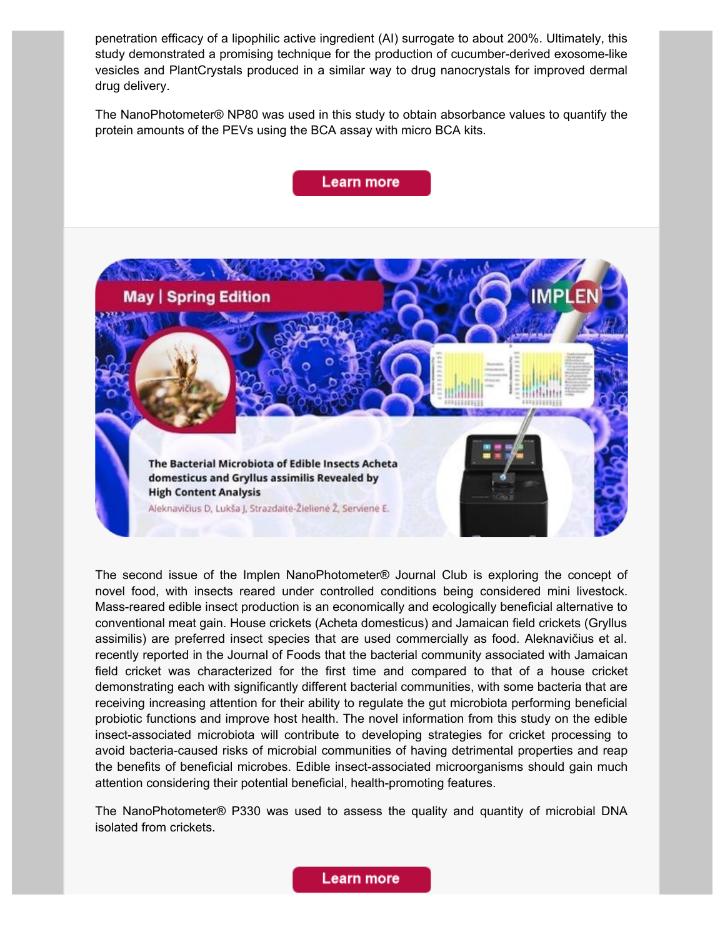penetration efficacy of a lipophilic active ingredient (AI) surrogate to about 200%. Ultimately, this study demonstrated a promising technique for the production of cucumber-derived exosome-like vesicles and PlantCrystals produced in a similar way to drug nanocrystals for improved dermal drug delivery.

The NanoPhotometer® NP80 was used in this study to obtain absorbance values to quantify the protein amounts of the PEVs using the BCA assay with micro BCA kits.

## **Learn more**



The second issue of the Implen NanoPhotometer® Journal Club is exploring the concept of novel food, with insects reared under controlled conditions being considered mini livestock. Mass-reared edible insect production is an economically and ecologically beneficial alternative to conventional meat gain. House crickets (Acheta domesticus) and Jamaican field crickets (Gryllus assimilis) are preferred insect species that are used commercially as food. Aleknavičius et al. recently reported in the Journal of Foods that the bacterial community associated with Jamaican field cricket was characterized for the first time and compared to that of a house cricket demonstrating each with significantly different bacterial communities, with some bacteria that are receiving increasing attention for their ability to regulate the gut microbiota performing beneficial probiotic functions and improve host health. The novel information from this study on the edible insect-associated microbiota will contribute to developing strategies for cricket processing to avoid bacteria-caused risks of microbial communities of having detrimental properties and reap the benefits of beneficial microbes. Edible insect-associated microorganisms should gain much attention considering their potential beneficial, health-promoting features.

The NanoPhotometer® P330 was used to assess the quality and quantity of microbial DNA isolated from crickets.

Learn more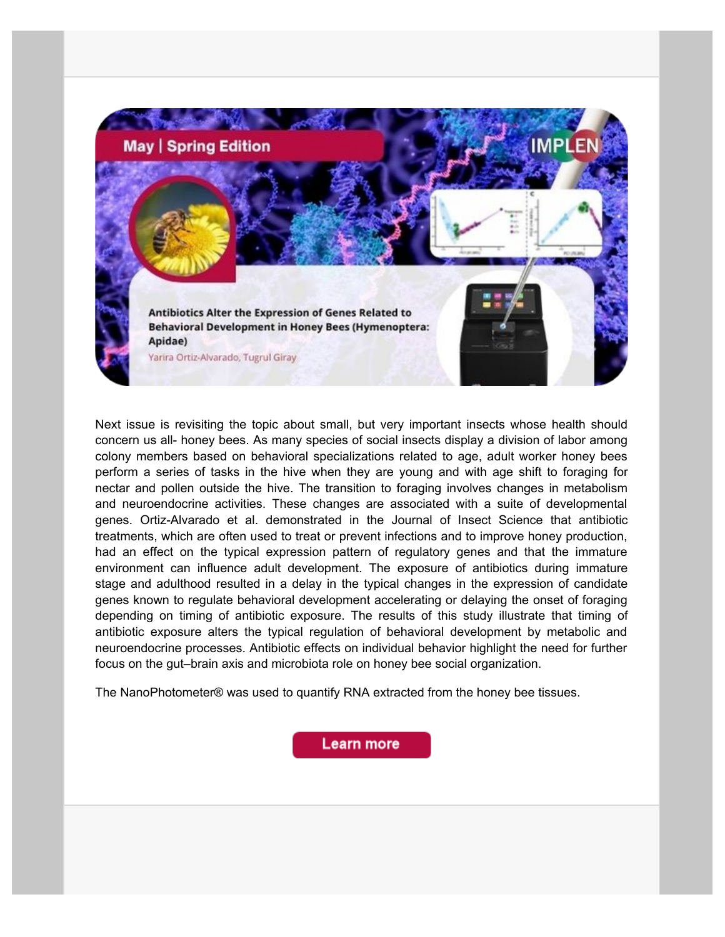

Next issue is revisiting the topic about small, but very important insects whose health should concern us all- honey bees. As many species of social insects display a division of labor among colony members based on behavioral specializations related to age, adult worker honey bees perform a series of tasks in the hive when they are young and with age shift to foraging for nectar and pollen outside the hive. The transition to foraging involves changes in metabolism and neuroendocrine activities. These changes are associated with a suite of developmental genes. Ortiz-Alvarado et al. demonstrated in the Journal of Insect Science that antibiotic treatments, which are often used to treat or prevent infections and to improve honey production, had an effect on the typical expression pattern of regulatory genes and that the immature environment can influence adult development. The exposure of antibiotics during immature stage and adulthood resulted in a delay in the typical changes in the expression of candidate genes known to regulate behavioral development accelerating or delaying the onset of foraging depending on timing of antibiotic exposure. The results of this study illustrate that timing of antibiotic exposure alters the typical regulation of behavioral development by metabolic and neuroendocrine processes. Antibiotic effects on individual behavior highlight the need for further focus on the gut–brain axis and microbiota role on honey bee social organization.

The NanoPhotometer® was used to quantify RNA extracted from the honey bee tissues.

Learn more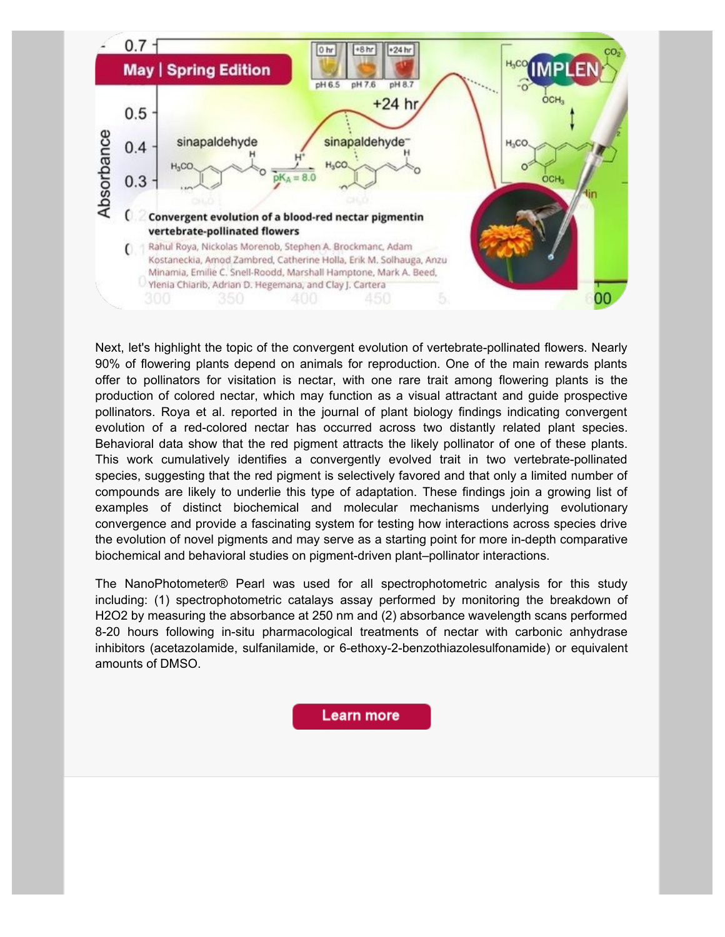

Next, let's highlight the topic of the convergent evolution of vertebrate-pollinated flowers. Nearly 90% of flowering plants depend on animals for reproduction. One of the main rewards plants offer to pollinators for visitation is nectar, with one rare trait among flowering plants is the production of colored nectar, which may function as a visual attractant and guide prospective pollinators. Roya et al. reported in the journal of plant biology findings indicating convergent evolution of a red-colored nectar has occurred across two distantly related plant species. Behavioral data show that the red pigment attracts the likely pollinator of one of these plants. This work cumulatively identifies a convergently evolved trait in two vertebrate-pollinated species, suggesting that the red pigment is selectively favored and that only a limited number of compounds are likely to underlie this type of adaptation. These findings join a growing list of examples of distinct biochemical and molecular mechanisms underlying evolutionary convergence and provide a fascinating system for testing how interactions across species drive the evolution of novel pigments and may serve as a starting point for more in-depth comparative biochemical and behavioral studies on pigment-driven plant–pollinator interactions.

The NanoPhotometer® Pearl was used for all spectrophotometric analysis for this study including: (1) spectrophotometric catalays assay performed by monitoring the breakdown of H2O2 by measuring the absorbance at 250 nm and (2) absorbance wavelength scans performed 8-20 hours following in-situ pharmacological treatments of nectar with carbonic anhydrase inhibitors (acetazolamide, sulfanilamide, or 6-ethoxy-2-benzothiazolesulfonamide) or equivalent amounts of DMSO.

**Learn more**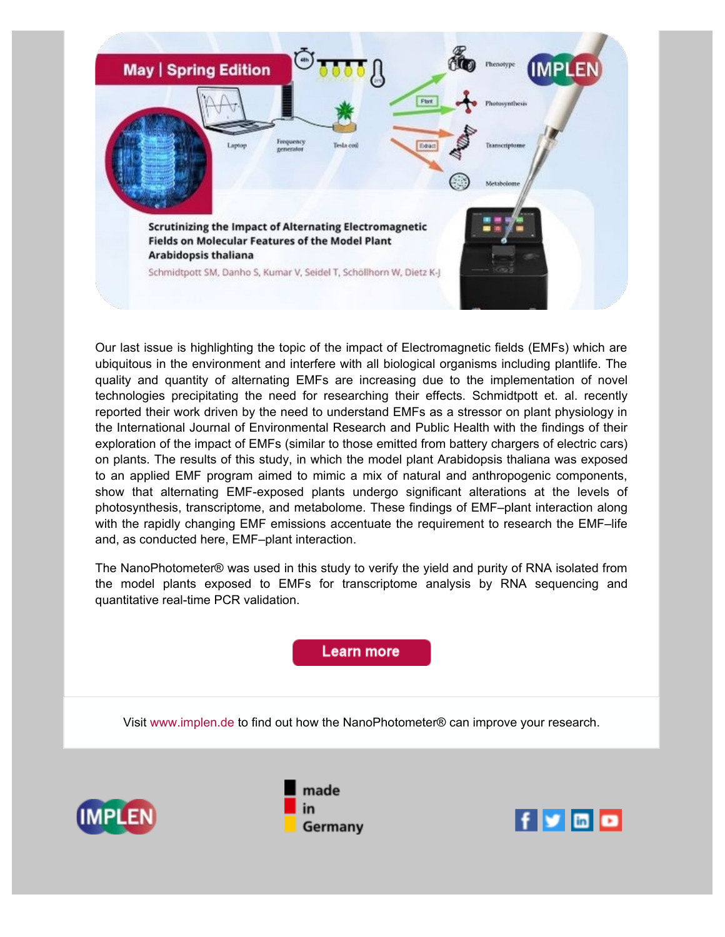

Our last issue is highlighting the topic of the impact of Electromagnetic fields (EMFs) which are ubiquitous in the environment and interfere with all biological organisms including plantlife. The quality and quantity of alternating EMFs are increasing due to the implementation of novel technologies precipitating the need for researching their effects. Schmidtpott et. al. recently reported their work driven by the need to understand EMFs as a stressor on plant physiology in the International Journal of Environmental Research and Public Health with the findings of their exploration of the impact of EMFs (similar to those emitted from battery chargers of electric cars) on plants. The results of this study, in which the model plant Arabidopsis thaliana was exposed to an applied EMF program aimed to mimic a mix of natural and anthropogenic components, show that alternating EMF-exposed plants undergo significant alterations at the levels of photosynthesis, transcriptome, and metabolome. These findings of EMF–plant interaction along with the rapidly changing EMF emissions accentuate the requirement to research the EMF–life and, as conducted here, EMF–plant interaction.

The NanoPhotometer® was used in this study to verify the yield and purity of RNA isolated from the model plants exposed to EMFs for transcriptome analysis by RNA sequencing and quantitative real-time PCR validation.

## Learn more

Visit [www.implen.de](https://www.implen.de/) to find out how the NanoPhotometer® can improve your research.